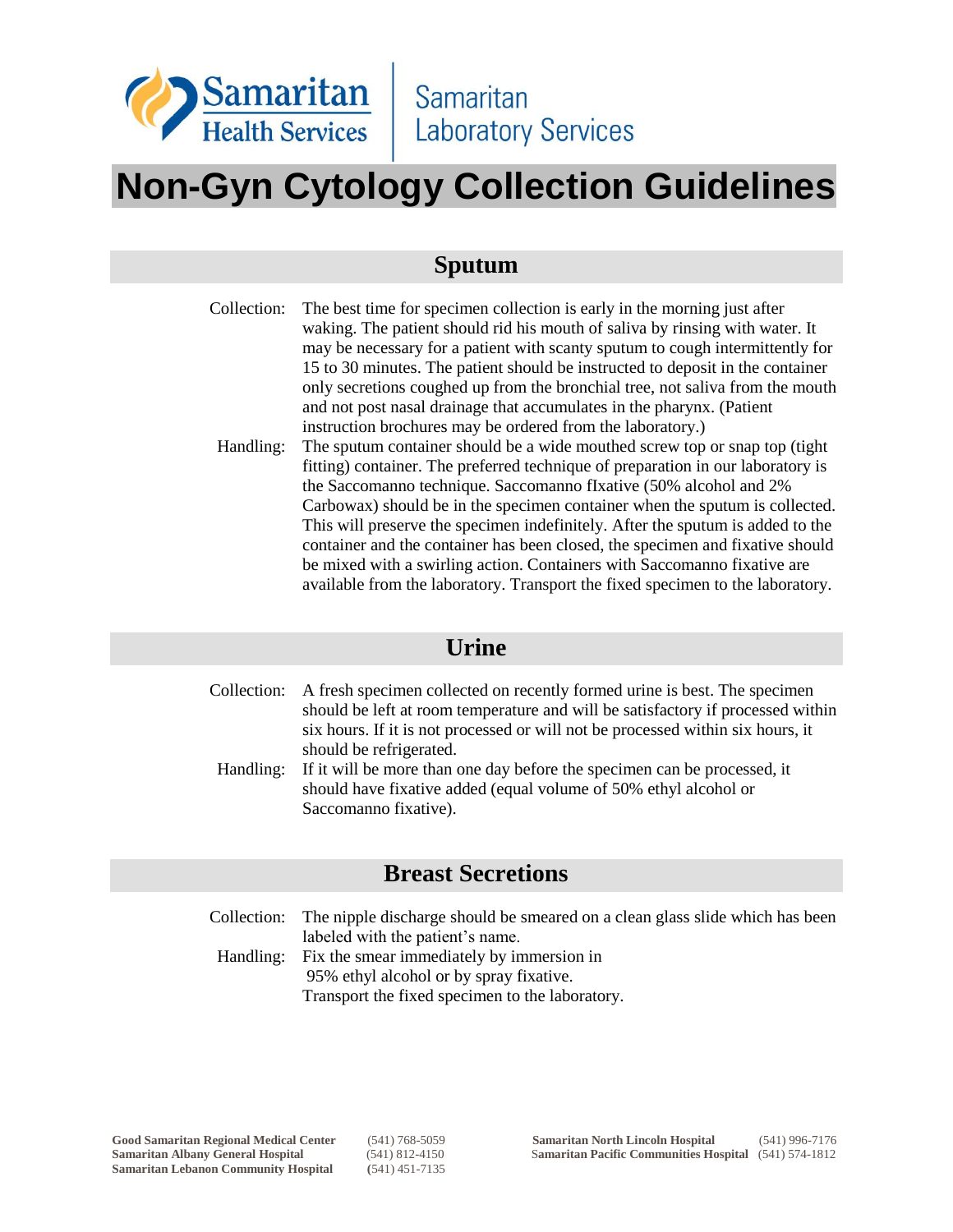

# **Non-Gyn Cytology Collection Guidelines**

### **Sputum**

| Collection: | The best time for specimen collection is early in the morning just after<br>waking. The patient should rid his mouth of saliva by rinsing with water. It<br>may be necessary for a patient with scanty sputum to cough intermittently for<br>15 to 30 minutes. The patient should be instructed to deposit in the container<br>only secretions coughed up from the bronchial tree, not saliva from the mouth<br>and not post nasal drainage that accumulates in the pharynx. (Patient |
|-------------|---------------------------------------------------------------------------------------------------------------------------------------------------------------------------------------------------------------------------------------------------------------------------------------------------------------------------------------------------------------------------------------------------------------------------------------------------------------------------------------|
|             | instruction brochures may be ordered from the laboratory.)                                                                                                                                                                                                                                                                                                                                                                                                                            |
| Handling:   | The sputum container should be a wide mouthed screw top or snap top (tight)                                                                                                                                                                                                                                                                                                                                                                                                           |
|             | fitting) container. The preferred technique of preparation in our laboratory is                                                                                                                                                                                                                                                                                                                                                                                                       |
|             | the Saccomanno technique. Saccomanno fIxative (50% alcohol and 2%                                                                                                                                                                                                                                                                                                                                                                                                                     |
|             | Carbowax) should be in the specimen container when the sputum is collected.                                                                                                                                                                                                                                                                                                                                                                                                           |
|             | This will preserve the specimen indefinitely. After the sputum is added to the                                                                                                                                                                                                                                                                                                                                                                                                        |
|             | container and the container has been closed, the specimen and fixative should                                                                                                                                                                                                                                                                                                                                                                                                         |
|             | be mixed with a swirling action. Containers with Saccomanno fixative are<br>available from the laboratory. Transport the fixed specimen to the laboratory.                                                                                                                                                                                                                                                                                                                            |

#### **Urine**

|           | Collection: A fresh specimen collected on recently formed urine is best. The specimen<br>should be left at room temperature and will be satisfactory if processed within |
|-----------|--------------------------------------------------------------------------------------------------------------------------------------------------------------------------|
|           |                                                                                                                                                                          |
|           | six hours. If it is not processed or will not be processed within six hours, it                                                                                          |
|           | should be refrigerated.                                                                                                                                                  |
| Handling: | If it will be more than one day before the specimen can be processed, it                                                                                                 |
|           | should have fixative added (equal volume of 50% ethyl alcohol or                                                                                                         |
|           | Saccomanno fixative).                                                                                                                                                    |

#### **Breast Secretions**

Collection: The nipple discharge should be smeared on a clean glass slide which has been labeled with the patient's name. Handling: Fix the smear immediately by immersion in

95% ethyl alcohol or by spray fixative. Transport the fixed specimen to the laboratory.